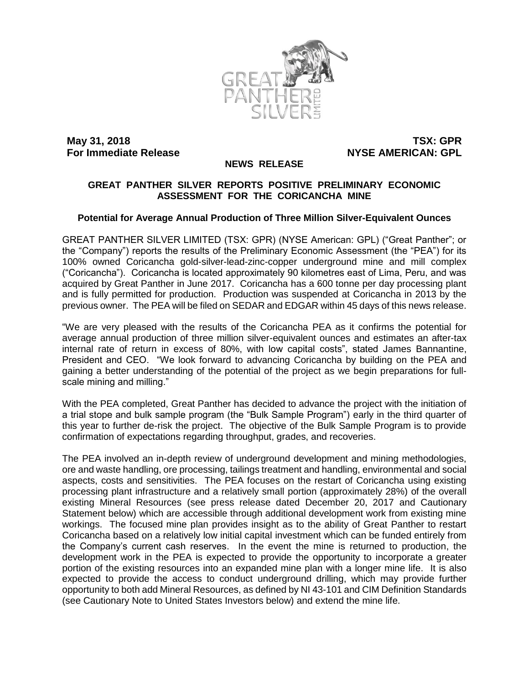

**May 31, 2018 TSX: GPR For Immediate Release <b>NYSE AMERICAN: GPL** 

#### **NEWS RELEASE**

### **GREAT PANTHER SILVER REPORTS POSITIVE PRELIMINARY ECONOMIC ASSESSMENT FOR THE CORICANCHA MINE**

#### **Potential for Average Annual Production of Three Million Silver-Equivalent Ounces**

GREAT PANTHER SILVER LIMITED (TSX: GPR) (NYSE American: GPL) ("Great Panther"; or the "Company") reports the results of the Preliminary Economic Assessment (the "PEA") for its 100% owned Coricancha gold-silver-lead-zinc-copper underground mine and mill complex ("Coricancha"). Coricancha is located approximately 90 kilometres east of Lima, Peru, and was acquired by Great Panther in June 2017. Coricancha has a 600 tonne per day processing plant and is fully permitted for production. Production was suspended at Coricancha in 2013 by the previous owner. The PEA will be filed on SEDAR and EDGAR within 45 days of this news release.

"We are very pleased with the results of the Coricancha PEA as it confirms the potential for average annual production of three million silver-equivalent ounces and estimates an after-tax internal rate of return in excess of 80%, with low capital costs", stated James Bannantine, President and CEO. "We look forward to advancing Coricancha by building on the PEA and gaining a better understanding of the potential of the project as we begin preparations for fullscale mining and milling."

With the PEA completed, Great Panther has decided to advance the project with the initiation of a trial stope and bulk sample program (the "Bulk Sample Program") early in the third quarter of this year to further de-risk the project. The objective of the Bulk Sample Program is to provide confirmation of expectations regarding throughput, grades, and recoveries.

The PEA involved an in-depth review of underground development and mining methodologies, ore and waste handling, ore processing, tailings treatment and handling, environmental and social aspects, costs and sensitivities. The PEA focuses on the restart of Coricancha using existing processing plant infrastructure and a relatively small portion (approximately 28%) of the overall existing Mineral Resources (see press release dated December 20, 2017 and Cautionary Statement below) which are accessible through additional development work from existing mine workings. The focused mine plan provides insight as to the ability of Great Panther to restart Coricancha based on a relatively low initial capital investment which can be funded entirely from the Company's current cash reserves. In the event the mine is returned to production, the development work in the PEA is expected to provide the opportunity to incorporate a greater portion of the existing resources into an expanded mine plan with a longer mine life. It is also expected to provide the access to conduct underground drilling, which may provide further opportunity to both add Mineral Resources, as defined by NI 43-101 and CIM Definition Standards (see Cautionary Note to United States Investors below) and extend the mine life.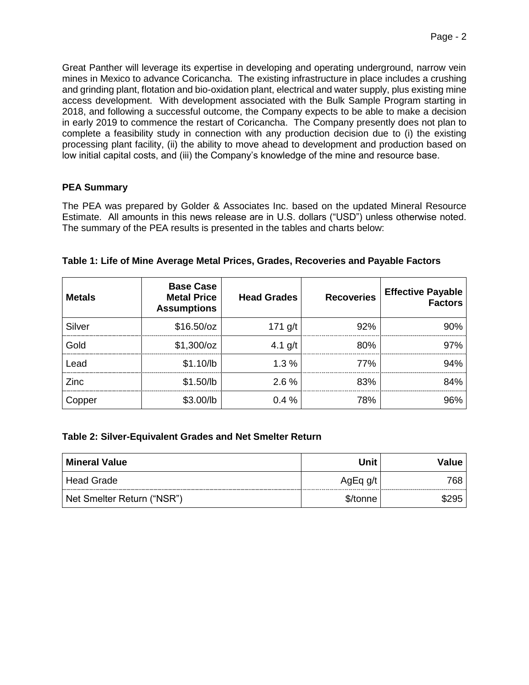Great Panther will leverage its expertise in developing and operating underground, narrow vein mines in Mexico to advance Coricancha. The existing infrastructure in place includes a crushing and grinding plant, flotation and bio-oxidation plant, electrical and water supply, plus existing mine access development. With development associated with the Bulk Sample Program starting in 2018, and following a successful outcome, the Company expects to be able to make a decision in early 2019 to commence the restart of Coricancha. The Company presently does not plan to complete a feasibility study in connection with any production decision due to (i) the existing processing plant facility, (ii) the ability to move ahead to development and production based on low initial capital costs, and (iii) the Company's knowledge of the mine and resource base.

### **PEA Summary**

The PEA was prepared by Golder & Associates Inc. based on the updated Mineral Resource Estimate. All amounts in this news release are in U.S. dollars ("USD") unless otherwise noted. The summary of the PEA results is presented in the tables and charts below:

| <b>Metals</b> | <b>Base Case</b><br><b>Metal Price</b><br><b>Assumptions</b> | <b>Head Grades</b> | <b>Recoveries</b> | <b>Effective Payable</b><br><b>Factors</b> |
|---------------|--------------------------------------------------------------|--------------------|-------------------|--------------------------------------------|
| Silver        | \$16.50/cz                                                   | 171 $g/t$          | 92%               | 90%                                        |
| Gold          | \$1,300/oz                                                   | 4.1 $g/t$          | 80%               | 97%                                        |
| Lead          | \$1.10/lb                                                    | 1.3%               | 77%               | 94%                                        |
| Zinc          | \$1.50/lb                                                    | 2.6%               | 83%               | 84%                                        |
| Copper        | \$3.00/lb                                                    | 0.4%               | 78%               | 96%                                        |

| Table 1: Life of Mine Average Metal Prices, Grades, Recoveries and Payable Factors |  |  |
|------------------------------------------------------------------------------------|--|--|
|                                                                                    |  |  |

### **Table 2: Silver-Equivalent Grades and Net Smelter Return**

| <b>Mineral Value</b>       | Unit       | <b>Value</b> |
|----------------------------|------------|--------------|
| Head Grade                 | AgEq $g/t$ | 768          |
| Net Smelter Return ("NSR") | \$/tonne   | \$295        |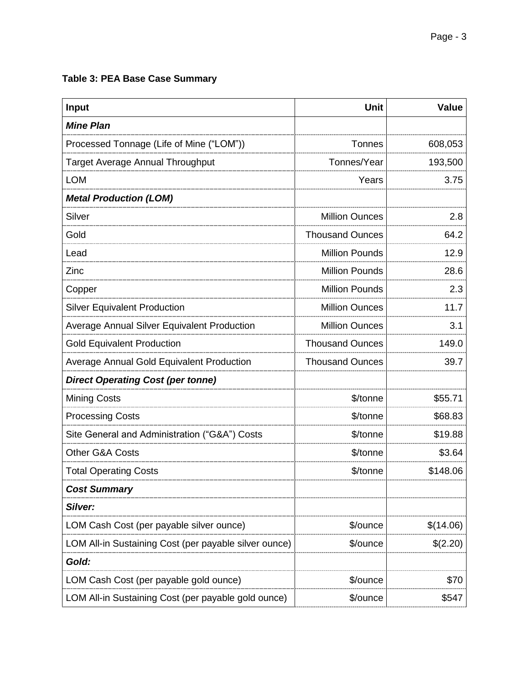# **Table 3: PEA Base Case Summary**

| Input                                                 | <b>Unit</b>            | <b>Value</b> |
|-------------------------------------------------------|------------------------|--------------|
| <b>Mine Plan</b>                                      |                        |              |
| Processed Tonnage (Life of Mine ("LOM"))              | Tonnes                 | 608,053      |
| <b>Target Average Annual Throughput</b>               | Tonnes/Year            | 193,500      |
| <b>LOM</b>                                            | Years                  | 3.75         |
| <b>Metal Production (LOM)</b>                         |                        |              |
| Silver                                                | <b>Million Ounces</b>  | 2.8          |
| Gold                                                  | <b>Thousand Ounces</b> | 64.2         |
| Lead                                                  | <b>Million Pounds</b>  | 12.9         |
| Zinc                                                  | <b>Million Pounds</b>  | 28.6         |
| Copper                                                | <b>Million Pounds</b>  | 2.3          |
| <b>Silver Equivalent Production</b>                   | <b>Million Ounces</b>  | 11.7         |
| <b>Average Annual Silver Equivalent Production</b>    | <b>Million Ounces</b>  | 3.1          |
| <b>Gold Equivalent Production</b>                     | <b>Thousand Ounces</b> | 149.0        |
| Average Annual Gold Equivalent Production             | <b>Thousand Ounces</b> | 39.7         |
| <b>Direct Operating Cost (per tonne)</b>              |                        |              |
| <b>Mining Costs</b>                                   | \$/tonne               | \$55.71      |
| <b>Processing Costs</b>                               | \$/tonne               | \$68.83      |
| Site General and Administration ("G&A") Costs         | \$/tonne               | \$19.88      |
| <b>Other G&amp;A Costs</b>                            | \$/tonne               | \$3.64       |
| <b>Total Operating Costs</b>                          | \$/tonne               | \$148.06     |
| <b>Cost Summary</b>                                   |                        |              |
| Silver:                                               |                        |              |
| LOM Cash Cost (per payable silver ounce)              | \$/ounce               | \$(14.06)    |
| LOM All-in Sustaining Cost (per payable silver ounce) | \$/ounce               | \$(2.20)     |
| Gold:                                                 |                        |              |
| LOM Cash Cost (per payable gold ounce)                | \$/ounce               | \$70         |
| LOM All-in Sustaining Cost (per payable gold ounce)   | \$/ounce               | \$547        |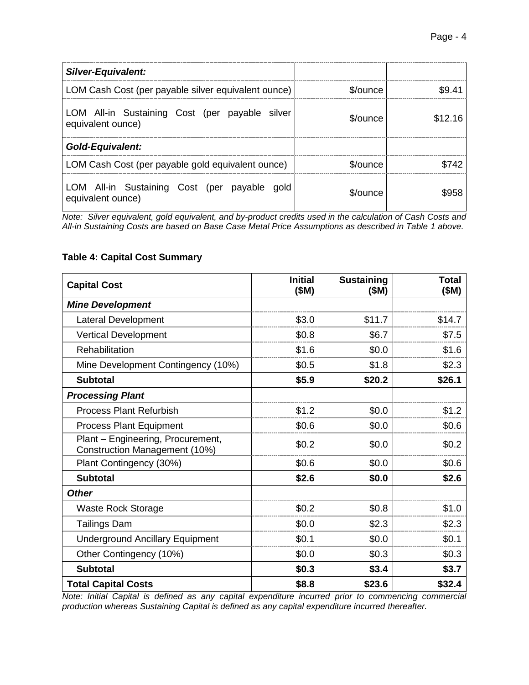| Silver-Equivalent:                                                  |            |         |
|---------------------------------------------------------------------|------------|---------|
| LOM Cash Cost (per payable silver equivalent ounce)                 | \$/ounce   |         |
| LOM All-in Sustaining Cost (per payable silver<br>equivalent ounce) | \$/ounce   | \$12 16 |
| <b>Gold-Equivalent:</b>                                             |            |         |
| LOM Cash Cost (per payable gold equivalent ounce)                   | $$/$ ounce |         |
| LOM All-in Sustaining Cost (per payable gold<br>equivalent ounce)   | \$/ounce   |         |

*Note: Silver equivalent, gold equivalent, and by-product credits used in the calculation of Cash Costs and All-in Sustaining Costs are based on Base Case Metal Price Assumptions as described in Table 1 above.*

## **Table 4: Capital Cost Summary**

| <b>Capital Cost</b>                                                | <b>Initial</b><br>(\$M) | <b>Sustaining</b><br>(\$M) | Total<br>(\$M) |
|--------------------------------------------------------------------|-------------------------|----------------------------|----------------|
| <b>Mine Development</b>                                            |                         |                            |                |
| <b>Lateral Development</b>                                         | \$3.0                   | \$11.7                     | \$14.7         |
| <b>Vertical Development</b>                                        | \$0.8                   | \$6.7                      | \$7.5          |
| Rehabilitation                                                     | \$1.6                   | \$0.0                      | \$1.6          |
| Mine Development Contingency (10%)                                 | \$0.5                   | \$1.8                      | \$2.3          |
| <b>Subtotal</b>                                                    | \$5.9                   | \$20.2                     | \$26.1         |
| <b>Processing Plant</b>                                            |                         |                            |                |
| <b>Process Plant Refurbish</b>                                     | \$1.2                   | \$0.0                      | \$1.2          |
| <b>Process Plant Equipment</b>                                     | \$0.6                   | \$0.0                      | \$0.6          |
| Plant - Engineering, Procurement,<br>Construction Management (10%) | \$0.2                   | \$0.0                      | \$0.2          |
| Plant Contingency (30%)                                            | \$0.6                   | \$0.0                      | \$0.6          |
| <b>Subtotal</b>                                                    | \$2.6                   | \$0.0                      | \$2.6          |
| <b>Other</b>                                                       |                         |                            |                |
| <b>Waste Rock Storage</b>                                          | \$0.2                   | \$0.8                      | \$1.0          |
| <b>Tailings Dam</b>                                                | \$0.0                   | \$2.3                      | \$2.3          |
| <b>Underground Ancillary Equipment</b>                             | \$0.1                   | \$0.0                      | \$0.1          |
| Other Contingency (10%)                                            | \$0.0                   | \$0.3                      | \$0.3          |
| <b>Subtotal</b>                                                    | \$0.3                   | \$3.4                      | \$3.7          |
| <b>Total Capital Costs</b>                                         | \$8.8                   | \$23.6                     | \$32.4         |

*Note: Initial Capital is defined as any capital expenditure incurred prior to commencing commercial production whereas Sustaining Capital is defined as any capital expenditure incurred thereafter.*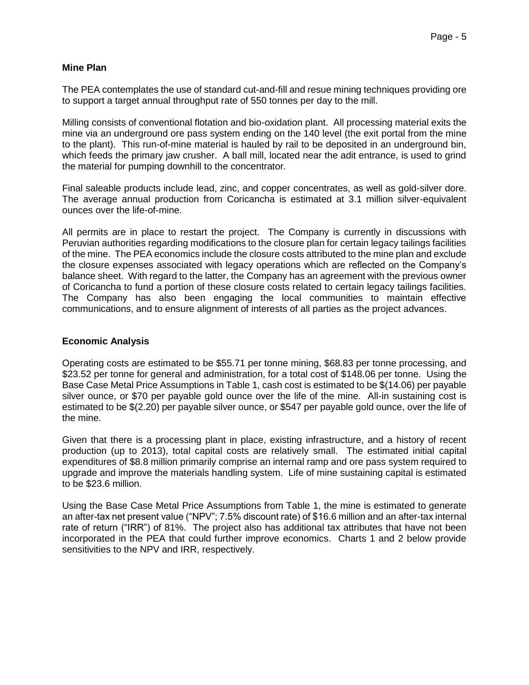### **Mine Plan**

The PEA contemplates the use of standard cut-and-fill and resue mining techniques providing ore to support a target annual throughput rate of 550 tonnes per day to the mill.

Milling consists of conventional flotation and bio-oxidation plant. All processing material exits the mine via an underground ore pass system ending on the 140 level (the exit portal from the mine to the plant). This run-of-mine material is hauled by rail to be deposited in an underground bin, which feeds the primary jaw crusher. A ball mill, located near the adit entrance, is used to grind the material for pumping downhill to the concentrator.

Final saleable products include lead, zinc, and copper concentrates, as well as gold-silver dore. The average annual production from Coricancha is estimated at 3.1 million silver-equivalent ounces over the life-of-mine.

All permits are in place to restart the project. The Company is currently in discussions with Peruvian authorities regarding modifications to the closure plan for certain legacy tailings facilities of the mine. The PEA economics include the closure costs attributed to the mine plan and exclude the closure expenses associated with legacy operations which are reflected on the Company's balance sheet. With regard to the latter, the Company has an agreement with the previous owner of Coricancha to fund a portion of these closure costs related to certain legacy tailings facilities. The Company has also been engaging the local communities to maintain effective communications, and to ensure alignment of interests of all parties as the project advances.

### **Economic Analysis**

Operating costs are estimated to be \$55.71 per tonne mining, \$68.83 per tonne processing, and \$23.52 per tonne for general and administration, for a total cost of \$148.06 per tonne. Using the Base Case Metal Price Assumptions in Table 1, cash cost is estimated to be \$(14.06) per payable silver ounce, or \$70 per payable gold ounce over the life of the mine. All-in sustaining cost is estimated to be \$(2.20) per payable silver ounce, or \$547 per payable gold ounce, over the life of the mine.

Given that there is a processing plant in place, existing infrastructure, and a history of recent production (up to 2013), total capital costs are relatively small. The estimated initial capital expenditures of \$8.8 million primarily comprise an internal ramp and ore pass system required to upgrade and improve the materials handling system. Life of mine sustaining capital is estimated to be \$23.6 million.

Using the Base Case Metal Price Assumptions from Table 1, the mine is estimated to generate an after-tax net present value ("NPV"; 7.5% discount rate) of \$16.6 million and an after-tax internal rate of return ("IRR") of 81%. The project also has additional tax attributes that have not been incorporated in the PEA that could further improve economics. Charts 1 and 2 below provide sensitivities to the NPV and IRR, respectively.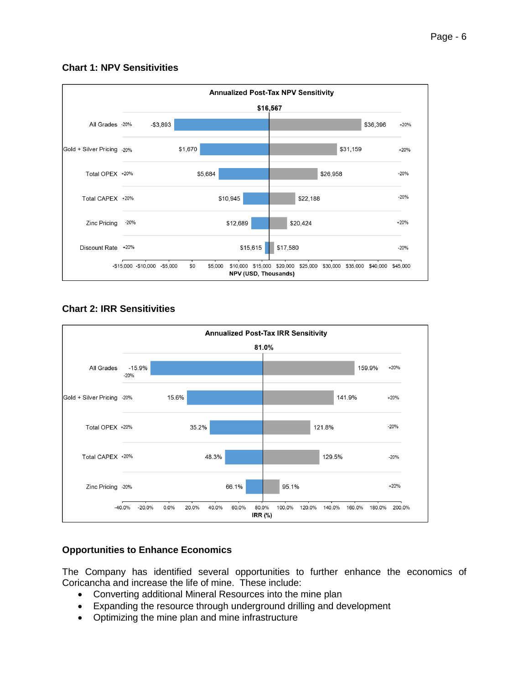# **Chart 1: NPV Sensitivities**



# **Chart 2: IRR Sensitivities**



# **Opportunities to Enhance Economics**

The Company has identified several opportunities to further enhance the economics of Coricancha and increase the life of mine. These include:

- Converting additional Mineral Resources into the mine plan
- Expanding the resource through underground drilling and development
- Optimizing the mine plan and mine infrastructure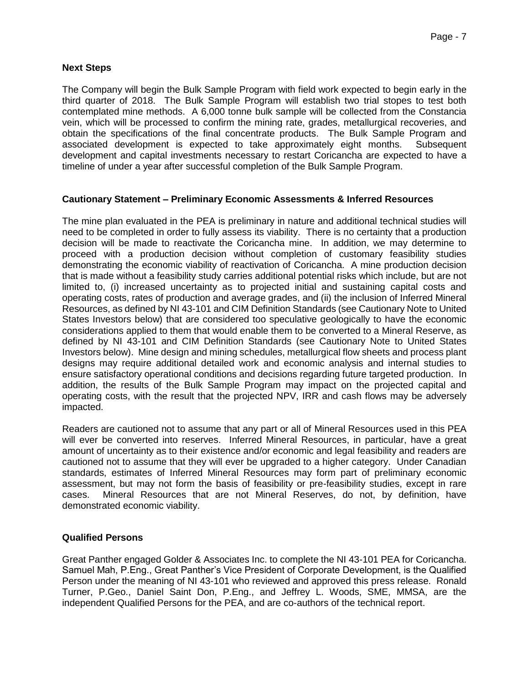### **Next Steps**

The Company will begin the Bulk Sample Program with field work expected to begin early in the third quarter of 2018. The Bulk Sample Program will establish two trial stopes to test both contemplated mine methods. A 6,000 tonne bulk sample will be collected from the Constancia vein, which will be processed to confirm the mining rate, grades, metallurgical recoveries, and obtain the specifications of the final concentrate products. The Bulk Sample Program and associated development is expected to take approximately eight months. Subsequent development and capital investments necessary to restart Coricancha are expected to have a timeline of under a year after successful completion of the Bulk Sample Program.

### **Cautionary Statement – Preliminary Economic Assessments & Inferred Resources**

The mine plan evaluated in the PEA is preliminary in nature and additional technical studies will need to be completed in order to fully assess its viability. There is no certainty that a production decision will be made to reactivate the Coricancha mine. In addition, we may determine to proceed with a production decision without completion of customary feasibility studies demonstrating the economic viability of reactivation of Coricancha. A mine production decision that is made without a feasibility study carries additional potential risks which include, but are not limited to, (i) increased uncertainty as to projected initial and sustaining capital costs and operating costs, rates of production and average grades, and (ii) the inclusion of Inferred Mineral Resources, as defined by NI 43-101 and CIM Definition Standards (see Cautionary Note to United States Investors below) that are considered too speculative geologically to have the economic considerations applied to them that would enable them to be converted to a Mineral Reserve, as defined by NI 43-101 and CIM Definition Standards (see Cautionary Note to United States Investors below). Mine design and mining schedules, metallurgical flow sheets and process plant designs may require additional detailed work and economic analysis and internal studies to ensure satisfactory operational conditions and decisions regarding future targeted production. In addition, the results of the Bulk Sample Program may impact on the projected capital and operating costs, with the result that the projected NPV, IRR and cash flows may be adversely impacted.

Readers are cautioned not to assume that any part or all of Mineral Resources used in this PEA will ever be converted into reserves. Inferred Mineral Resources, in particular, have a great amount of uncertainty as to their existence and/or economic and legal feasibility and readers are cautioned not to assume that they will ever be upgraded to a higher category. Under Canadian standards, estimates of Inferred Mineral Resources may form part of preliminary economic assessment, but may not form the basis of feasibility or pre-feasibility studies, except in rare cases. Mineral Resources that are not Mineral Reserves, do not, by definition, have demonstrated economic viability.

### **Qualified Persons**

Great Panther engaged Golder & Associates Inc. to complete the NI 43-101 PEA for Coricancha. Samuel Mah, P.Eng., Great Panther's Vice President of Corporate Development, is the Qualified Person under the meaning of NI 43-101 who reviewed and approved this press release. Ronald Turner, P.Geo., Daniel Saint Don, P.Eng., and Jeffrey L. Woods, SME, MMSA, are the independent Qualified Persons for the PEA, and are co-authors of the technical report.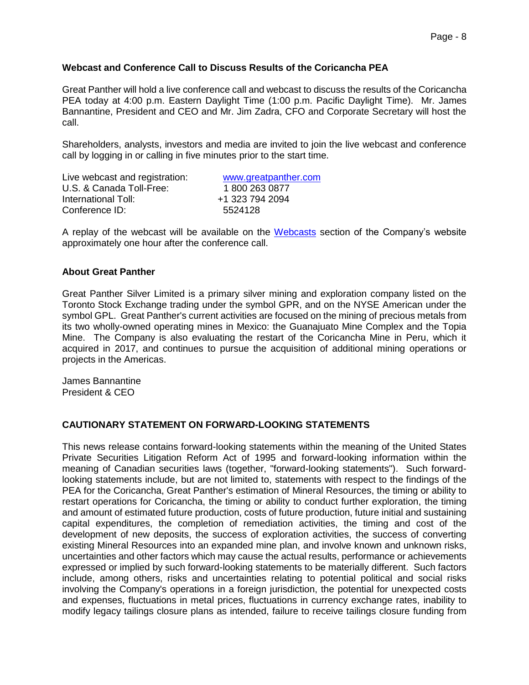### **Webcast and Conference Call to Discuss Results of the Coricancha PEA**

Great Panther will hold a live conference call and webcast to discuss the results of the Coricancha PEA today at 4:00 p.m. Eastern Daylight Time (1:00 p.m. Pacific Daylight Time). Mr. James Bannantine, President and CEO and Mr. Jim Zadra, CFO and Corporate Secretary will host the call.

Shareholders, analysts, investors and media are invited to join the live webcast and conference call by logging in or calling in five minutes prior to the start time.

| Live webcast and registration: | www.greatpanther.com |  |  |
|--------------------------------|----------------------|--|--|
| U.S. & Canada Toll-Free:       | 1800 263 0877        |  |  |
| International Toll:            | +1 323 794 2094      |  |  |
| Conference ID:                 | 5524128              |  |  |

A replay of the webcast will be available on the [Webcasts](http://www.greatpanther.com/news-media/webcasts/) section of the Company's website approximately one hour after the conference call.

#### **About Great Panther**

Great Panther Silver Limited is a primary silver mining and exploration company listed on the Toronto Stock Exchange trading under the symbol GPR, and on the NYSE American under the symbol GPL. Great Panther's current activities are focused on the mining of precious metals from its two wholly-owned operating mines in Mexico: the Guanajuato Mine Complex and the Topia Mine. The Company is also evaluating the restart of the Coricancha Mine in Peru, which it acquired in 2017, and continues to pursue the acquisition of additional mining operations or projects in the Americas.

James Bannantine President & CEO

#### **CAUTIONARY STATEMENT ON FORWARD-LOOKING STATEMENTS**

This news release contains forward-looking statements within the meaning of the United States Private Securities Litigation Reform Act of 1995 and forward-looking information within the meaning of Canadian securities laws (together, "forward-looking statements"). Such forwardlooking statements include, but are not limited to, statements with respect to the findings of the PEA for the Coricancha, Great Panther's estimation of Mineral Resources, the timing or ability to restart operations for Coricancha, the timing or ability to conduct further exploration, the timing and amount of estimated future production, costs of future production, future initial and sustaining capital expenditures, the completion of remediation activities, the timing and cost of the development of new deposits, the success of exploration activities, the success of converting existing Mineral Resources into an expanded mine plan, and involve known and unknown risks, uncertainties and other factors which may cause the actual results, performance or achievements expressed or implied by such forward-looking statements to be materially different. Such factors include, among others, risks and uncertainties relating to potential political and social risks involving the Company's operations in a foreign jurisdiction, the potential for unexpected costs and expenses, fluctuations in metal prices, fluctuations in currency exchange rates, inability to modify legacy tailings closure plans as intended, failure to receive tailings closure funding from